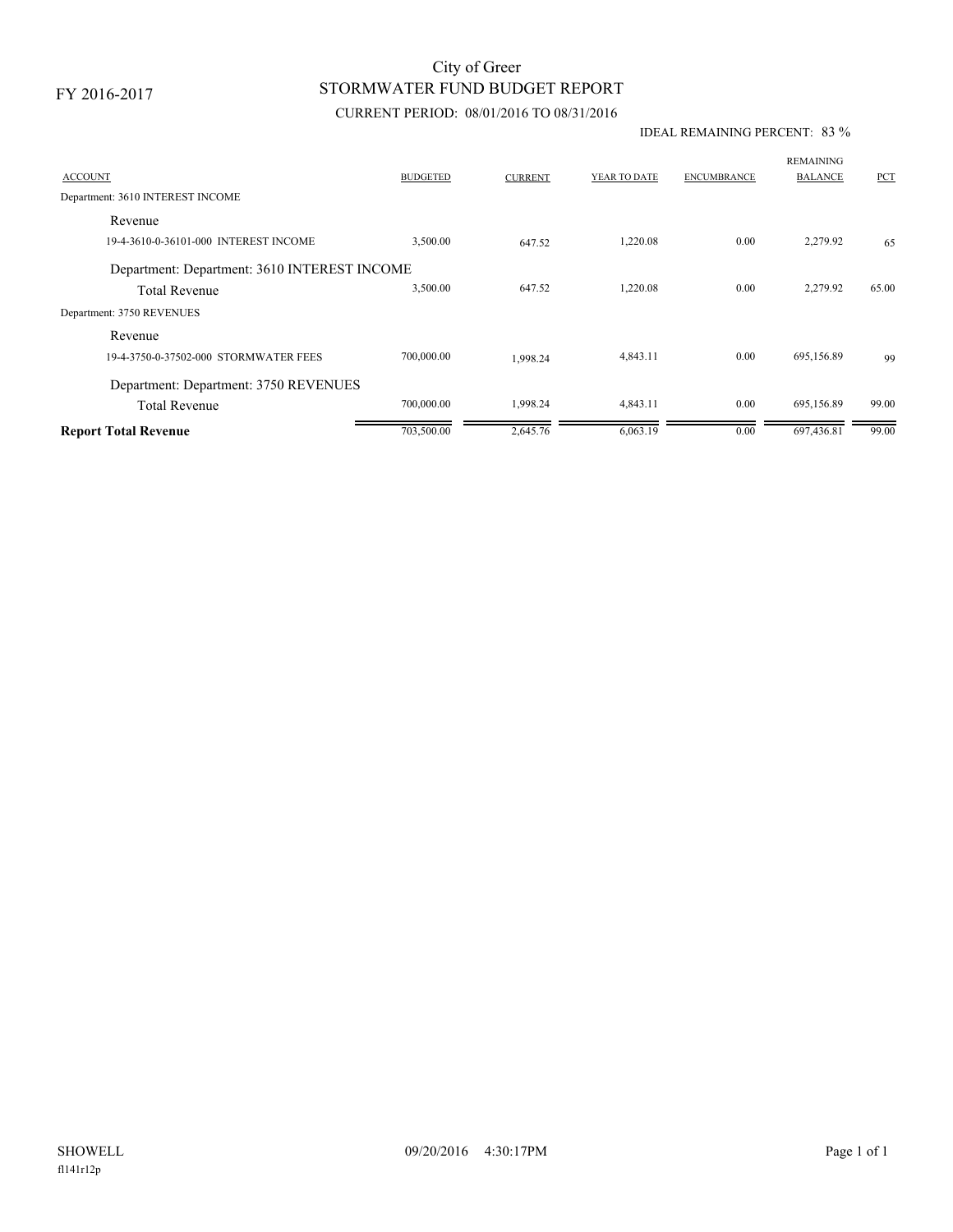FY 2016-2017

# STORMWATER FUND BUDGET REPORT City of Greer

### CURRENT PERIOD: 08/01/2016 TO 08/31/2016

#### IDEAL REMAINING PERCENT: 83 %

| <b>ACCOUNT</b>                               | <b>BUDGETED</b> | <b>CURRENT</b> | YEAR TO DATE | <b>ENCUMBRANCE</b> | <b>REMAINING</b><br><b>BALANCE</b> | PCT   |
|----------------------------------------------|-----------------|----------------|--------------|--------------------|------------------------------------|-------|
| Department: 3610 INTEREST INCOME             |                 |                |              |                    |                                    |       |
| Revenue                                      |                 |                |              |                    |                                    |       |
| 19-4-3610-0-36101-000 INTEREST INCOME        | 3,500.00        | 647.52         | 1,220.08     | 0.00               | 2,279.92                           | 65    |
| Department: Department: 3610 INTEREST INCOME |                 |                |              |                    |                                    |       |
| <b>Total Revenue</b>                         | 3,500.00        | 647.52         | 1.220.08     | 0.00               | 2,279.92                           | 65.00 |
| Department: 3750 REVENUES                    |                 |                |              |                    |                                    |       |
| Revenue                                      |                 |                |              |                    |                                    |       |
| 19-4-3750-0-37502-000 STORMWATER FEES        | 700,000.00      | 1.998.24       | 4,843.11     | 0.00               | 695,156.89                         | 99    |
| Department: Department: 3750 REVENUES        |                 |                |              |                    |                                    |       |
| <b>Total Revenue</b>                         | 700,000.00      | 1,998.24       | 4,843.11     | 0.00               | 695,156.89                         | 99.00 |
| <b>Report Total Revenue</b>                  | 703,500.00      | 2,645.76       | 6,063.19     | 0.00               | 697,436.81                         | 99.00 |